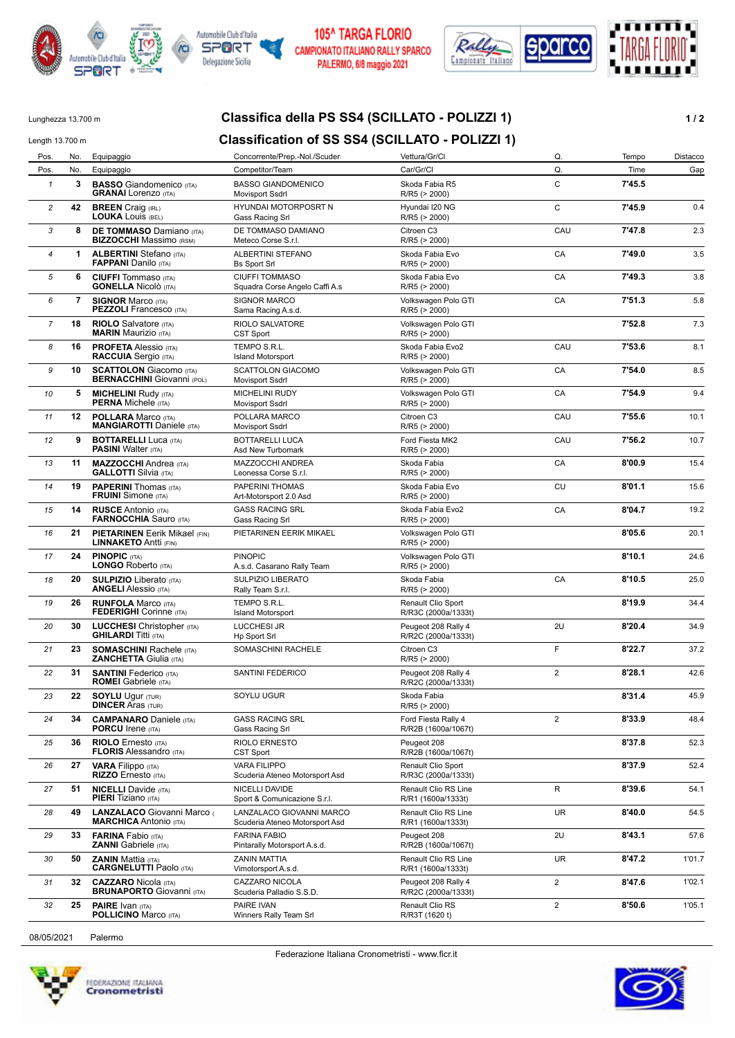



## **105^ TARGA FLORIO** CAMPIONATO ITALIANO RALLY SPARCO PALERMO, 6/8 maggio 2021



# Lunghezza 13.700 m **Classifica della PS SS4 (SCILLATO - POLIZZI 1) 1 / 2**

# Length 13.700 m **Classification of SS SS4 (SCILLATO - POLIZZI 1)**

| Pos.           | No. | Equipaggio                                                           | Concorrente/Prep.-Nol./Scuder                              | Vettura/Gr/Cl                              | Q.               | Tempo  | Distacco |
|----------------|-----|----------------------------------------------------------------------|------------------------------------------------------------|--------------------------------------------|------------------|--------|----------|
| Pos.           | No. | Equipaggio                                                           | Competitor/Team                                            | Car/Gr/Cl                                  | Q.               | Time   | Gap      |
| $\mathbf{1}$   | 3   | <b>BASSO</b> Giandomenico (ITA)<br><b>GRANAI</b> Lorenzo (ITA)       | <b>BASSO GIANDOMENICO</b><br>Movisport Ssdrl               | Skoda Fabia R5<br>R/R5 (> 2000)            | $\mathbf C$      | 7'45.5 |          |
| $\overline{c}$ | 42  | <b>BREEN</b> Craig (IRL)<br><b>LOUKA LOUIS (BEL)</b>                 | HYUNDAI MOTORPOSRT N<br>Gass Racing Srl                    | Hyundai I20 NG<br>R/R5 (> 2000)            | C                | 7'45.9 | 0.4      |
| 3              | 8   | <b>DE TOMMASO Damiano (ITA)</b><br><b>BIZZOCCHI</b> Massimo (RSM)    | DE TOMMASO DAMIANO<br>Meteco Corse S.r.l.                  | Citroen C3<br>R/R5 (> 2000)                | CAU              | 7'47.8 | 2.3      |
| $\overline{4}$ | 1   | <b>ALBERTINI</b> Stefano (ITA)<br><b>FAPPANI</b> Danilo (ITA)        | ALBERTINI STEFANO<br>Bs Sport Srl                          | Skoda Fabia Evo<br>R/R5 (> 2000)           | CA               | 7'49.0 | 3.5      |
| 5              | 6   | <b>CIUFFI</b> Tommaso (ITA)<br><b>GONELLA Nicolò</b> (ITA)           | <b>CIUFFI TOMMASO</b><br>Squadra Corse Angelo Caffi A.s    | Skoda Fabia Evo<br>R/R5 (> 2000)           | CA               | 7'49.3 | 3.8      |
| 6              | 7   | <b>SIGNOR Marco (ITA)</b><br><b>PEZZOLI</b> Francesco (ITA)          | SIGNOR MARCO<br>Sama Racing A.s.d.                         | Volkswagen Polo GTI<br>R/R5 (> 2000)       | CA               | 7'51.3 | 5.8      |
| 7              | 18  | <b>RIOLO</b> Salvatore (ITA)<br><b>MARIN Maurizio (ITA)</b>          | RIOLO SALVATORE<br><b>CST Sport</b>                        | Volkswagen Polo GTI<br>R/R5 (> 2000)       |                  | 7'52.8 | 7.3      |
| 8              | 16  | <b>PROFETA Alessio (ITA)</b><br><b>RACCUIA</b> Sergio (ITA)          | TEMPO S.R.L.<br><b>Island Motorsport</b>                   | Skoda Fabia Evo2<br>R/R5 (> 2000)          | CAU              | 7'53.6 | 8.1      |
| 9              | 10  | <b>SCATTOLON</b> Giacomo (ITA)<br><b>BERNACCHINI</b> Giovanni (POL)  | <b>SCATTOLON GIACOMO</b><br><b>Movisport Ssdrl</b>         | Volkswagen Polo GTI<br>R/R5 (> 2000)       | CA               | 7'54.0 | 8.5      |
| 10             | 5   | <b>MICHELINI Rudy (ITA)</b><br><b>PERNA Michele (ITA)</b>            | <b>MICHELINI RUDY</b><br>Movisport Ssdrl                   | Volkswagen Polo GTI<br>R/R5 (> 2000)       | CA               | 7'54.9 | 9.4      |
| 11             | 12  | <b>POLLARA Marco (ITA)</b><br><b>MANGIAROTTI Daniele (ITA)</b>       | POLLARA MARCO<br>Movisport Ssdrl                           | Citroen C3<br>R/R5 (> 2000)                | CAU              | 7'55.6 | 10.1     |
| 12             | 9   | <b>BOTTARELLI Luca (ITA)</b><br><b>PASINI</b> Walter (ITA)           | BOTTARELLI LUCA<br>Asd New Turbomark                       | Ford Fiesta MK2<br>R/R5 (> 2000)           | CAU              | 7'56.2 | 10.7     |
| 13             | 11  | <b>MAZZOCCHI</b> Andrea (ITA)<br><b>GALLOTTI</b> Silvia (ITA)        | MAZZOCCHI ANDREA<br>Leonessa Corse S.r.l.                  | Skoda Fabia<br>R/R5 (> 2000)               | CA               | 8'00.9 | 15.4     |
| 14             | 19  | <b>PAPERINI</b> Thomas (ITA)<br><b>FRUINI</b> Simone (ITA)           | PAPERINI THOMAS<br>Art-Motorsport 2.0 Asd                  | Skoda Fabia Evo<br>R/R5 (> 2000)           | CU               | 8'01.1 | 15.6     |
| 15             | 14  | <b>RUSCE Antonio (ITA)</b><br><b>FARNOCCHIA Sauro (ITA)</b>          | <b>GASS RACING SRL</b><br>Gass Racing Srl                  | Skoda Fabia Evo2<br>R/R5 (> 2000)          | CA               | 8'04.7 | 19.2     |
| 16             | 21  | <b>PIETARINEN</b> Eerik Mikael (FIN)<br><b>LINNAKETO Antti (FIN)</b> | PIETARINEN EERIK MIKAEL                                    | Volkswagen Polo GTI<br>R/R5 (> 2000)       |                  | 8'05.6 | 20.1     |
| 17             | 24  | <b>PINOPIC (ITA)</b><br><b>LONGO Roberto (ITA)</b>                   | <b>PINOPIC</b><br>A.s.d. Casarano Rally Team               | Volkswagen Polo GTI<br>R/R5 (> 2000)       |                  | 8'10.1 | 24.6     |
| 18             | 20  | <b>SULPIZIO</b> Liberato (ITA)<br><b>ANGELI Alessio (ITA)</b>        | SULPIZIO LIBERATO<br>Rally Team S.r.l.                     | Skoda Fabia<br>R/R5 (> 2000)               | CA               | 8'10.5 | 25.0     |
| 19             | 26  | <b>RUNFOLA Marco (ITA)</b><br><b>FEDERIGHI</b> Corinne (ITA)         | TEMPO S.R.L.<br><b>Island Motorsport</b>                   | Renault Clio Sport<br>R/R3C (2000a/1333t)  |                  | 8'19.9 | 34.4     |
| 20             | 30  | <b>LUCCHESI</b> Christopher (ITA)<br><b>GHILARDI Titti (ITA)</b>     | <b>LUCCHESI JR</b><br><b>Hp Sport Srl</b>                  | Peugeot 208 Rally 4<br>R/R2C (2000a/1333t) | 2U               | 8'20.4 | 34.9     |
| 21             | 23  | <b>SOMASCHINI Rachele (ITA)</b><br><b>ZANCHETTA Giulia (ITA)</b>     | SOMASCHINI RACHELE                                         | Citroen C3<br>R/R5 (> 2000)                | F                | 8'22.7 | 37.2     |
| 22             | 31  | <b>SANTINI</b> Federico (ITA)<br><b>ROMEI</b> Gabriele (ITA)         | SANTINI FEDERICO                                           | Peugeot 208 Rally 4<br>R/R2C (2000a/1333t) | $\overline{2}$   | 8'28.1 | 42.6     |
| 23             | 22  | <b>SOYLU Ugur (TUR)</b><br><b>DINCER Aras (TUR)</b>                  | SOYLU UGUR                                                 | Skoda Fabia<br>$R/R5$ ( $> 2000$ )         |                  | 8'31.4 | 45.9     |
| 24             | 34  | <b>CAMPANARO</b> Daniele (ITA)<br><b>PORCU Irene (ITA)</b>           | <b>GASS RACING SRL</b><br>Gass Racing Srl                  | Ford Fiesta Rally 4<br>R/R2B (1600a/1067t) | $\overline{2}$   | 8'33.9 | 48.4     |
| 25             | 36  | <b>RIOLO</b> Ernesto (ITA)<br><b>FLORIS Alessandro</b> (ITA)         | RIOLO ERNESTO<br>CST Sport                                 | Peugeot 208<br>R/R2B (1600a/1067t)         |                  | 8'37.8 | 52.3     |
| 26             | 27  | <b>VARA Filippo</b> (ITA)<br>RIZZO Ernesto (ITA)                     | <b>VARA FILIPPO</b><br>Scuderia Ateneo Motorsport Asd      | Renault Clio Sport<br>R/R3C (2000a/1333t)  |                  | 8'37.9 | 52.4     |
| 27             | 51  | <b>NICELLI</b> Davide (ITA)<br><b>PIERI</b> Tiziano (ITA)            | NICELLI DAVIDE<br>Sport & Comunicazione S.r.l.             | Renault Clio RS Line<br>R/R1 (1600a/1333t) | R                | 8'39.6 | 54.1     |
| 28             | 49  | LANZALACO Giovanni Marco<br><b>MARCHICA</b> Antonio (ITA)            | LANZALACO GIOVANNI MARCO<br>Scuderia Ateneo Motorsport Asd | Renault Clio RS Line<br>R/R1 (1600a/1333t) | UR               | 8'40.0 | 54.5     |
| 29             | 33  | <b>FARINA Fabio (ITA)</b><br><b>ZANNI</b> Gabriele (ITA)             | <b>FARINA FABIO</b><br>Pintarally Motorsport A.s.d.        | Peugeot 208<br>R/R2B (1600a/1067t)         | 2U               | 8'43.1 | 57.6     |
| 30             | 50  | <b>ZANIN Mattia (ITA)</b><br><b>CARGNELUTTI Paolo (ITA)</b>          | <b>ZANIN MATTIA</b><br>Vimotorsport A.s.d.                 | Renault Clio RS Line<br>R/R1 (1600a/1333t) | UR               | 8'47.2 | 1'01.7   |
| 31             | 32  | <b>CAZZARO</b> Nicola (ITA)<br><b>BRUNAPORTO</b> Giovanni (ITA)      | CAZZARO NICOLA<br>Scuderia Palladio S.S.D.                 | Peugeot 208 Rally 4<br>R/R2C (2000a/1333t) | $\overline{2}$   | 8'47.6 | 1'02.1   |
| 32             | 25  | <b>PAIRE</b> Ivan (ITA)<br><b>POLLICINO Marco (ITA)</b>              | PAIRE IVAN<br>Winners Rally Team Srl                       | Renault Clio RS<br>R/R3T (1620 t)          | $\boldsymbol{2}$ | 8'50.6 | 1'05.1   |
|                |     |                                                                      |                                                            |                                            |                  |        |          |

08/05/2021 Palermo





Federazione Italiana Cronometristi - www.ficr.it